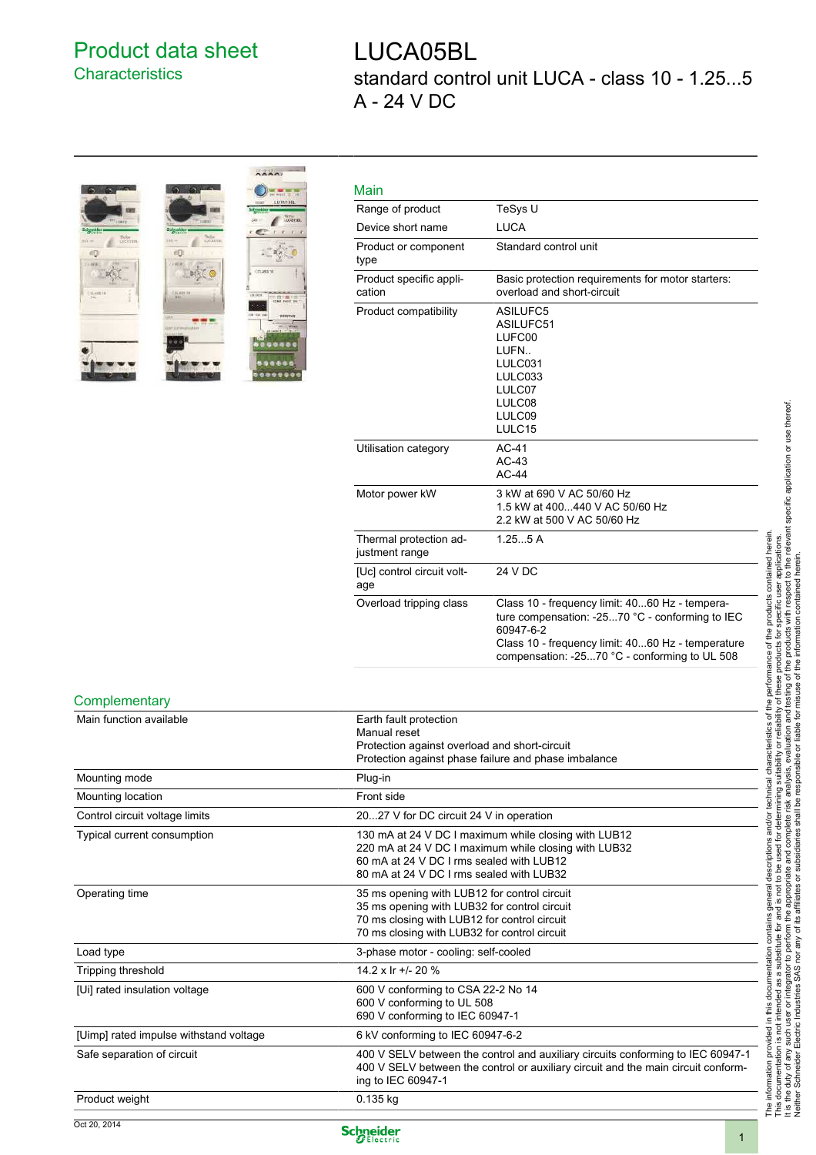## Product data sheet **Characteristics**

## LUCA05BL standard control unit LUCA - class 10 - 1.25...5 A - 24 V DC



| Main                                     |                                                                                                                                                                                                                      |
|------------------------------------------|----------------------------------------------------------------------------------------------------------------------------------------------------------------------------------------------------------------------|
| Range of product                         | TeSys U                                                                                                                                                                                                              |
| Device short name                        | <b>LUCA</b>                                                                                                                                                                                                          |
| Product or component<br>type             | Standard control unit                                                                                                                                                                                                |
| Product specific appli-<br>cation        | Basic protection requirements for motor starters:<br>overload and short-circuit                                                                                                                                      |
| Product compatibility                    | ASILUFC5<br>ASILUFC51<br>LUFC00<br>LUFN<br>LULC031<br>LULC033<br>LULC07<br>LULC08<br>LULC09<br>LULC15                                                                                                                |
| Utilisation category                     | $AC-41$<br>$AC-43$<br>$AC-44$                                                                                                                                                                                        |
| Motor power kW                           | 3 kW at 690 V AC 50/60 Hz<br>1.5 kW at 400440 V AC 50/60 Hz<br>2.2 kW at 500 V AC 50/60 Hz                                                                                                                           |
| Thermal protection ad-<br>justment range | 1.255A                                                                                                                                                                                                               |
| [Uc] control circuit volt-<br>age        | 24 V DC                                                                                                                                                                                                              |
| Overload tripping class                  | Class 10 - frequency limit: 4060 Hz - tempera-<br>ture compensation: -2570 °C - conforming to IEC<br>60947-6-2<br>Class 10 - frequency limit: 4060 Hz - temperature<br>compensation: -2570 °C - conforming to UL 508 |

## **Complementary**

| Main function available                | Earth fault protection<br>Manual reset<br>Protection against overload and short-circuit                                                                                                              |
|----------------------------------------|------------------------------------------------------------------------------------------------------------------------------------------------------------------------------------------------------|
|                                        | Protection against phase failure and phase imbalance                                                                                                                                                 |
| Mounting mode                          | Plug-in                                                                                                                                                                                              |
| Mounting location                      | Front side                                                                                                                                                                                           |
| Control circuit voltage limits         | 2027 V for DC circuit 24 V in operation                                                                                                                                                              |
| Typical current consumption            | 130 mA at 24 V DC I maximum while closing with LUB12<br>220 mA at 24 V DC I maximum while closing with LUB32<br>60 mA at 24 V DC I rms sealed with LUB12<br>80 mA at 24 V DC I rms sealed with LUB32 |
| Operating time                         | 35 ms opening with LUB12 for control circuit<br>35 ms opening with LUB32 for control circuit<br>70 ms closing with LUB12 for control circuit<br>70 ms closing with LUB32 for control circuit         |
| Load type                              | 3-phase motor - cooling: self-cooled                                                                                                                                                                 |
| Tripping threshold                     | 14.2 x Ir +/- 20 %                                                                                                                                                                                   |
| [Ui] rated insulation voltage          | 600 V conforming to CSA 22-2 No 14<br>600 V conforming to UL 508<br>690 V conforming to IEC 60947-1                                                                                                  |
| [Uimp] rated impulse withstand voltage | 6 kV conforming to IEC 60947-6-2                                                                                                                                                                     |
| Safe separation of circuit             | 400 V SELV between the control and auxiliary circuits conforming to IEC 60947-1<br>400 V SELV between the control or auxiliary circuit and the main circuit conform-<br>ing to IEC 60947-1           |
| Product weight                         | $0.135$ kg                                                                                                                                                                                           |